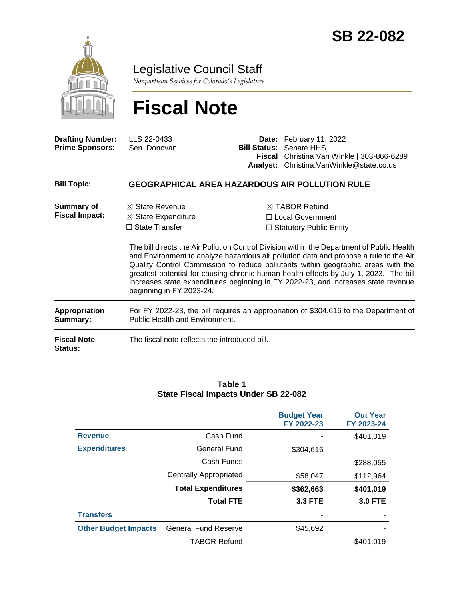

Legislative Council Staff

*Nonpartisan Services for Colorado's Legislature*

# **Fiscal Note**

| <b>Drafting Number:</b><br><b>Prime Sponsors:</b> | LLS 22-0433<br>Sen. Donovan                                                                                            |                                                                                                                                                                                                                                                                                                                                                                                                                                                                                                                                                | Date: February 11, 2022<br><b>Bill Status: Senate HHS</b><br>Fiscal Christina Van Winkle   303-866-6289<br>Analyst: Christina. Van Winkle@state.co.us |
|---------------------------------------------------|------------------------------------------------------------------------------------------------------------------------|------------------------------------------------------------------------------------------------------------------------------------------------------------------------------------------------------------------------------------------------------------------------------------------------------------------------------------------------------------------------------------------------------------------------------------------------------------------------------------------------------------------------------------------------|-------------------------------------------------------------------------------------------------------------------------------------------------------|
| <b>Bill Topic:</b>                                |                                                                                                                        |                                                                                                                                                                                                                                                                                                                                                                                                                                                                                                                                                | <b>GEOGRAPHICAL AREA HAZARDOUS AIR POLLUTION RULE</b>                                                                                                 |
| Summary of<br><b>Fiscal Impact:</b>               | $\boxtimes$ State Revenue<br>$\boxtimes$ State Expenditure<br>$\Box$ State Transfer<br>beginning in FY 2023-24.        | $\boxtimes$ TABOR Refund<br>$\Box$ Local Government<br>$\Box$ Statutory Public Entity<br>The bill directs the Air Pollution Control Division within the Department of Public Health<br>and Environment to analyze hazardous air pollution data and propose a rule to the Air<br>Quality Control Commission to reduce pollutants within geographic areas with the<br>greatest potential for causing chronic human health effects by July 1, 2023. The bill<br>increases state expenditures beginning in FY 2022-23, and increases state revenue |                                                                                                                                                       |
| <b>Appropriation</b><br>Summary:                  | For FY 2022-23, the bill requires an appropriation of \$304,616 to the Department of<br>Public Health and Environment. |                                                                                                                                                                                                                                                                                                                                                                                                                                                                                                                                                |                                                                                                                                                       |
| <b>Fiscal Note</b><br><b>Status:</b>              | The fiscal note reflects the introduced bill.                                                                          |                                                                                                                                                                                                                                                                                                                                                                                                                                                                                                                                                |                                                                                                                                                       |

#### **Table 1 State Fiscal Impacts Under SB 22-082**

|                             |                               | <b>Budget Year</b><br>FY 2022-23 | <b>Out Year</b><br>FY 2023-24 |
|-----------------------------|-------------------------------|----------------------------------|-------------------------------|
| <b>Revenue</b>              | Cash Fund                     |                                  | \$401,019                     |
| <b>Expenditures</b>         | <b>General Fund</b>           | \$304,616                        |                               |
|                             | Cash Funds                    |                                  | \$288,055                     |
|                             | <b>Centrally Appropriated</b> | \$58,047                         | \$112,964                     |
|                             | <b>Total Expenditures</b>     | \$362,663                        | \$401,019                     |
|                             | <b>Total FTE</b>              | <b>3.3 FTE</b>                   | <b>3.0 FTE</b>                |
| <b>Transfers</b>            |                               |                                  |                               |
| <b>Other Budget Impacts</b> | <b>General Fund Reserve</b>   | \$45,692                         |                               |
|                             | <b>TABOR Refund</b>           |                                  | \$401,019                     |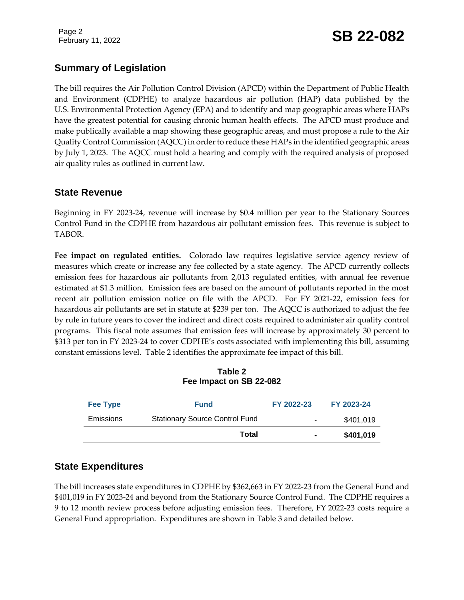Page 2

## February 11, 2022 **SB 22-082**

### **Summary of Legislation**

The bill requires the Air Pollution Control Division (APCD) within the Department of Public Health and Environment (CDPHE) to analyze hazardous air pollution (HAP) data published by the U.S. Environmental Protection Agency (EPA) and to identify and map geographic areas where HAPs have the greatest potential for causing chronic human health effects. The APCD must produce and make publically available a map showing these geographic areas, and must propose a rule to the Air Quality Control Commission (AQCC) in order to reduce these HAPs in the identified geographic areas by July 1, 2023. The AQCC must hold a hearing and comply with the required analysis of proposed air quality rules as outlined in current law.

#### **State Revenue**

Beginning in FY 2023-24, revenue will increase by \$0.4 million per year to the Stationary Sources Control Fund in the CDPHE from hazardous air pollutant emission fees. This revenue is subject to TABOR.

**Fee impact on regulated entities.** Colorado law requires legislative service agency review of measures which create or increase any fee collected by a state agency. The APCD currently collects emission fees for hazardous air pollutants from 2,013 regulated entities, with annual fee revenue estimated at \$1.3 million. Emission fees are based on the amount of pollutants reported in the most recent air pollution emission notice on file with the APCD. For FY 2021-22, emission fees for hazardous air pollutants are set in statute at \$239 per ton. The AQCC is authorized to adjust the fee by rule in future years to cover the indirect and direct costs required to administer air quality control programs. This fiscal note assumes that emission fees will increase by approximately 30 percent to \$313 per ton in FY 2023-24 to cover CDPHE's costs associated with implementing this bill, assuming constant emissions level. Table 2 identifies the approximate fee impact of this bill.

| Table 2                 |  |
|-------------------------|--|
| Fee Impact on SB 22-082 |  |

| <b>Fee Type</b>  | <b>Fund</b>                           | FY 2022-23     | FY 2023-24 |
|------------------|---------------------------------------|----------------|------------|
| <b>Emissions</b> | <b>Stationary Source Control Fund</b> | ۰              | \$401,019  |
|                  | Total                                 | $\blacksquare$ | \$401,019  |

### **State Expenditures**

The bill increases state expenditures in CDPHE by \$362,663 in FY 2022-23 from the General Fund and \$401,019 in FY 2023-24 and beyond from the Stationary Source Control Fund. The CDPHE requires a 9 to 12 month review process before adjusting emission fees. Therefore, FY 2022-23 costs require a General Fund appropriation. Expenditures are shown in Table 3 and detailed below.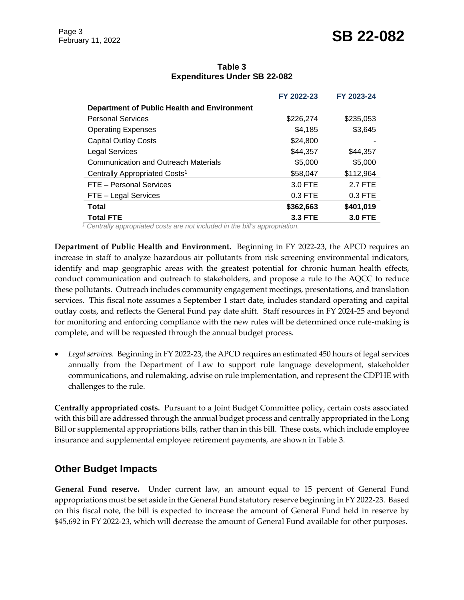### February 11, 2022 **SB 22-082**

|                                     | Table 3 |  |
|-------------------------------------|---------|--|
| <b>Expenditures Under SB 22-082</b> |         |  |

|                                             | FY 2022-23     | FY 2023-24     |
|---------------------------------------------|----------------|----------------|
| Department of Public Health and Environment |                |                |
| <b>Personal Services</b>                    | \$226,274      | \$235,053      |
| <b>Operating Expenses</b>                   | \$4,185        | \$3,645        |
| <b>Capital Outlay Costs</b>                 | \$24,800       |                |
| <b>Legal Services</b>                       | \$44,357       | \$44,357       |
| <b>Communication and Outreach Materials</b> | \$5,000        | \$5,000        |
| Centrally Appropriated Costs <sup>1</sup>   | \$58,047       | \$112,964      |
| FTE - Personal Services                     | 3.0 FTE        | 2.7 FTE        |
| FTE - Legal Services                        | $0.3$ FTE      | $0.3$ FTE      |
| Total                                       | \$362,663      | \$401,019      |
| <b>Total FTE</b>                            | <b>3.3 FTE</b> | <b>3.0 FTE</b> |

*<sup>1</sup> Centrally appropriated costs are not included in the bill's appropriation.*

**Department of Public Health and Environment.** Beginning in FY 2022-23, the APCD requires an increase in staff to analyze hazardous air pollutants from risk screening environmental indicators, identify and map geographic areas with the greatest potential for chronic human health effects, conduct communication and outreach to stakeholders, and propose a rule to the AQCC to reduce these pollutants. Outreach includes community engagement meetings, presentations, and translation services. This fiscal note assumes a September 1 start date, includes standard operating and capital outlay costs, and reflects the General Fund pay date shift. Staff resources in FY 2024-25 and beyond for monitoring and enforcing compliance with the new rules will be determined once rule-making is complete, and will be requested through the annual budget process.

 *Legal services.* Beginning in FY 2022-23, the APCD requires an estimated 450 hours of legal services annually from the Department of Law to support rule language development, stakeholder communications, and rulemaking, advise on rule implementation, and represent the CDPHE with challenges to the rule.

**Centrally appropriated costs.** Pursuant to a Joint Budget Committee policy, certain costs associated with this bill are addressed through the annual budget process and centrally appropriated in the Long Bill or supplemental appropriations bills, rather than in this bill. These costs, which include employee insurance and supplemental employee retirement payments, are shown in Table 3.

### **Other Budget Impacts**

**General Fund reserve.** Under current law, an amount equal to 15 percent of General Fund appropriations must be set aside in the General Fund statutory reserve beginning in FY 2022-23. Based on this fiscal note, the bill is expected to increase the amount of General Fund held in reserve by \$45,692 in FY 2022-23, which will decrease the amount of General Fund available for other purposes.